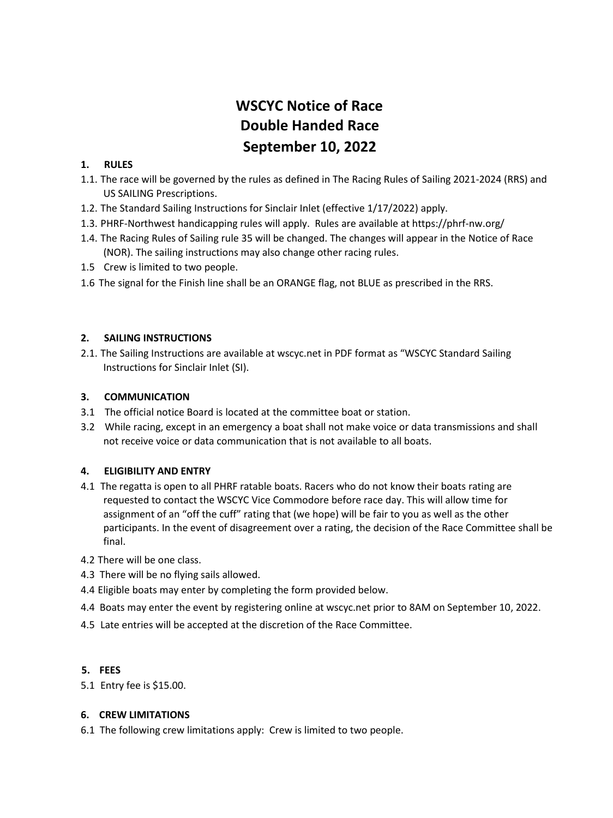# **WSCYC Notice of Race Double Handed Race September 10, 2022**

### **1. RULES**

- 1.1. The race will be governed by the rules as defined in The Racing Rules of Sailing 2021-2024 (RRS) and US SAILING Prescriptions.
- 1.2. The Standard Sailing Instructions for Sinclair Inlet (effective 1/17/2022) apply.
- 1.3. PHRF-Northwest handicapping rules will apply. Rules are available at https://phrf-nw.org/
- 1.4. The Racing Rules of Sailing rule 35 will be changed. The changes will appear in the Notice of Race (NOR). The sailing instructions may also change other racing rules.
- 1.5 Crew is limited to two people.
- 1.6 The signal for the Finish line shall be an ORANGE flag, not BLUE as prescribed in the RRS.

#### **2. SAILING INSTRUCTIONS**

2.1. The Sailing Instructions are available at wscyc.net in PDF format as "WSCYC Standard Sailing Instructions for Sinclair Inlet (SI).

#### **3. COMMUNICATION**

- 3.1 The official notice Board is located at the committee boat or station.
- 3.2 While racing, except in an emergency a boat shall not make voice or data transmissions and shall not receive voice or data communication that is not available to all boats.

#### **4. ELIGIBILITY AND ENTRY**

- 4.1 The regatta is open to all PHRF ratable boats. Racers who do not know their boats rating are requested to contact the WSCYC Vice Commodore before race day. This will allow time for assignment of an "off the cuff" rating that (we hope) will be fair to you as well as the other participants. In the event of disagreement over a rating, the decision of the Race Committee shall be final.
- 4.2 There will be one class.
- 4.3 There will be no flying sails allowed.
- 4.4 Eligible boats may enter by completing the form provided below.
- 4.4 Boats may enter the event by registering online at wscyc.net prior to 8AM on September 10, 2022.
- 4.5 Late entries will be accepted at the discretion of the Race Committee.

#### **5. FEES**

5.1 Entry fee is \$15.00.

#### **6. CREW LIMITATIONS**

6.1 The following crew limitations apply: Crew is limited to two people.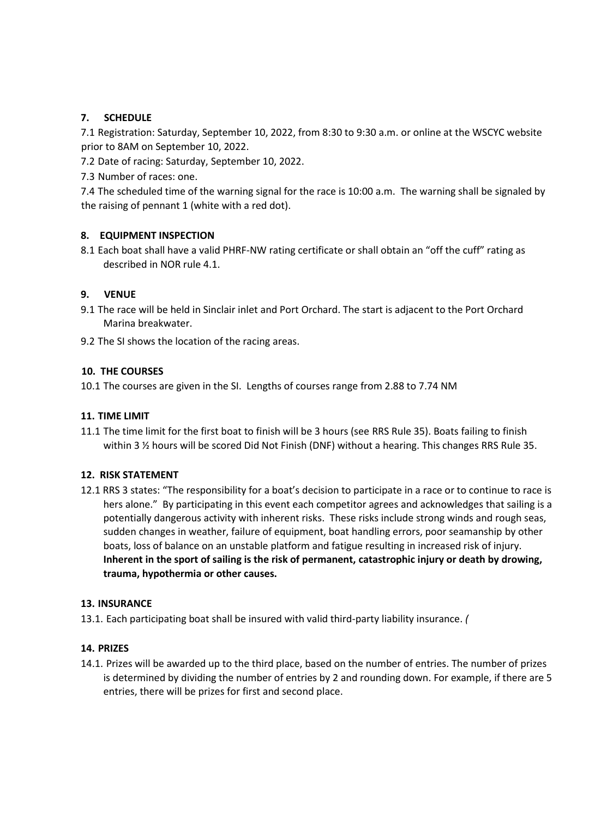### **7. SCHEDULE**

7.1 Registration: Saturday, September 10, 2022, from 8:30 to 9:30 a.m. or online at the WSCYC website prior to 8AM on September 10, 2022.

7.2 Date of racing: Saturday, September 10, 2022.

7.3 Number of races: one.

7.4 The scheduled time of the warning signal for the race is 10:00 a.m. The warning shall be signaled by the raising of pennant 1 (white with a red dot).

### **8. EQUIPMENT INSPECTION**

8.1 Each boat shall have a valid PHRF-NW rating certificate or shall obtain an "off the cuff" rating as described in NOR rule 4.1.

#### **9. VENUE**

9.1 The race will be held in Sinclair inlet and Port Orchard. The start is adjacent to the Port Orchard Marina breakwater.

9.2 The SI shows the location of the racing areas.

### **10. THE COURSES**

10.1 The courses are given in the SI. Lengths of courses range from 2.88 to 7.74 NM

#### **11. TIME LIMIT**

11.1 The time limit for the first boat to finish will be 3 hours (see RRS Rule 35). Boats failing to finish within 3 ½ hours will be scored Did Not Finish (DNF) without a hearing. This changes RRS Rule 35.

#### **12. RISK STATEMENT**

12.1 RRS 3 states: "The responsibility for a boat's decision to participate in a race or to continue to race is hers alone." By participating in this event each competitor agrees and acknowledges that sailing is a potentially dangerous activity with inherent risks. These risks include strong winds and rough seas, sudden changes in weather, failure of equipment, boat handling errors, poor seamanship by other boats, loss of balance on an unstable platform and fatigue resulting in increased risk of injury. **Inherent in the sport of sailing is the risk of permanent, catastrophic injury or death by drowing, trauma, hypothermia or other causes.**

#### **13. INSURANCE**

13.1. Each participating boat shall be insured with valid third-party liability insurance. *(*

#### **14. PRIZES**

14.1. Prizes will be awarded up to the third place, based on the number of entries. The number of prizes is determined by dividing the number of entries by 2 and rounding down. For example, if there are 5 entries, there will be prizes for first and second place.